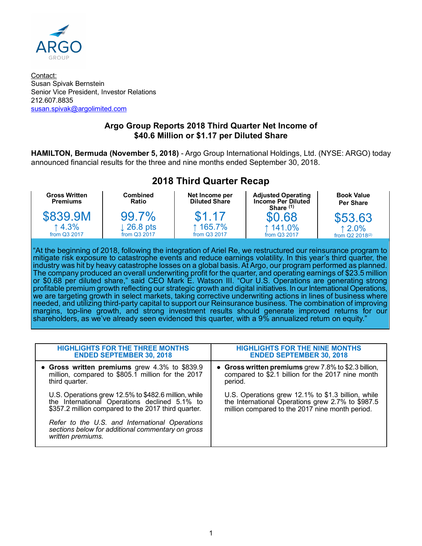

Contact: Susan Spivak Bernstein Senior Vice President, Investor Relations 212.607.8835 susan.spivak@argolimited.com

## **Argo Group Reports 2018 Third Quarter Net Income of \$40.6 Million or \$1.17 per Diluted Share**

**HAMILTON, Bermuda (November 5, 2018)** - Argo Group International Holdings, Ltd. (NYSE: ARGO) today announced financial results for the three and nine months ended September 30, 2018.

# **2018 Third Quarter Recap**

| <b>Gross Written</b><br><b>Premiums</b> | <b>Combined</b><br>Ratio | Net Income per<br><b>Diluted Share</b> | <b>Adjusted Operating</b><br>Income Per Diluted<br>Share $(1)$ | <b>Book Value</b><br><b>Per Share</b> |
|-----------------------------------------|--------------------------|----------------------------------------|----------------------------------------------------------------|---------------------------------------|
| \$839.9M                                | $99.7\%$                 | \$1 17                                 | \$0.68                                                         | \$53.63                               |
| $\uparrow$ 4.3%                         | $26.8$ pts               | ↑ 165.7%                               | ↑ 141.0%                                                       | $\uparrow$ 2.0%                       |
| from Q3 2017                            | from Q3 2017             | from Q3 2017                           | from Q3 2017                                                   | from Q2 2018 <sup>(2)</sup>           |

"At the beginning of 2018, following the integration of Ariel Re, we restructured our reinsurance program to mitigate risk exposure to catastrophe events and reduce earnings volatility. In this year's third quarter, the industry was hit by heavy catastrophe losses on a global basis. At Argo, our program performed as planned. The company produced an overall underwriting profit for the quarter, and operating earnings of \$23.5 million or \$0.68 per diluted share," said CEO Mark E. Watson III. "Our U.S. Operations are generating strong profitable premium growth reflecting our strategic growth and digital initiatives. In our International Operations, we are targeting growth in select markets, taking corrective underwriting actions in lines of business where needed, and utilizing third-party capital to support our Reinsurance business. The combination of improving margins, top-line growth, and strong investment results should generate improved returns for our shareholders, as we've already seen evidenced this quarter, with a 9% annualized return on equity."

| <b>HIGHLIGHTS FOR THE THREE MONTHS</b><br><b>ENDED SEPTEMBER 30, 2018</b>                                                                                    | <b>HIGHLIGHTS FOR THE NINE MONTHS</b><br><b>ENDED SEPTEMBER 30, 2018</b>                                                                                   |
|--------------------------------------------------------------------------------------------------------------------------------------------------------------|------------------------------------------------------------------------------------------------------------------------------------------------------------|
| • Gross written premiums grew 4.3% to \$839.9<br>million, compared to \$805.1 million for the 2017<br>third quarter.                                         | • Gross written premiums grew $7.8\%$ to \$2.3 billion,<br>compared to \$2.1 billion for the 2017 nine month<br>period.                                    |
| U.S. Operations grew 12.5% to \$482.6 million, while<br>the International Operations declined 5.1% to<br>\$357.2 million compared to the 2017 third quarter. | U.S. Operations grew 12.1% to \$1.3 billion, while<br>the International Operations grew 2.7% to \$987.5<br>million compared to the 2017 nine month period. |
| Refer to the U.S. and International Operations<br>sections below for additional commentary on gross<br>written premiums.                                     |                                                                                                                                                            |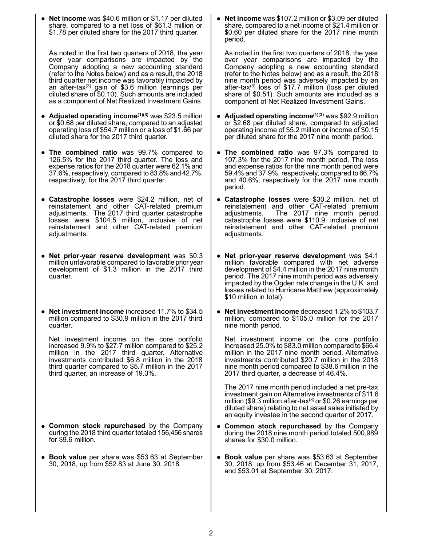**Net income** was \$40.6 million or \$1.17 per diluted share, compared to a net loss of \$61.3 million or \$1.78 per diluted share for the 2017 third quarter. As noted in the first two quarters of 2018, the year over year comparisons are impacted by the Company adopting a new accounting standard (refer to the Notes below) and as a result, the 2018 third quarter net income was favorably impacted by an after-tax<sup>(3)</sup> gain of \$3.6 million (earnings per diluted share of \$0.10). Such amounts are included as a component of Net Realized Investment Gains. ● **Net income** was \$107.2 million or \$3.09 per diluted share, compared to a net income of \$21.4 million or \$0.60 per diluted share for the 2017 nine month period. As noted in the first two quarters of 2018, the year over year comparisons are impacted by the Company adopting a new accounting standard (refer to the Notes below) and as a result, the 2018 nine month period was adversely impacted by an after-tax $(3)$  loss of \$17.7 million (loss per diluted share of \$0.51). Such amounts are included as a component of Net Realized Investment Gains. ● **Adjusted operating income(1)(3)** was \$23.5 million or \$0.68 per diluted share, compared to an adjusted operating loss of \$54.7 million or a loss of \$1.66 per diluted share for the 2017 third quarter. ● **Adjusted operating income(1)(3)** was \$92.9 million or \$2.68 per diluted share, compared to adjusted operating income of \$5.2 million or income of \$0.15 per diluted share for the 2017 nine month period. ● **The combined ratio** was 99.7% compared to 126.5% for the 2017 third quarter. The loss and expense ratios for the 2018 quarter were 62.1% and 37.6%, respectively, compared to 83.8% and 42.7%, respectively, for the 2017 third quarter. **The combined ratio** was 97.3% compared to 107.3% for the 2017 nine month period. The loss and expense ratios for the nine month period were 59.4% and 37.9%, respectively, compared to 66.7% and 40.6%, respectively for the 2017 nine month period. ● **Catastrophe losses** were \$24.2 million, net of reinstatement and other CAT-related premium adjustments. The 2017 third quarter catastrophe losses were \$104.5 million, inclusive of net reinstatement and other CAT-related premium adjustments. ● **Catastrophe losses** were \$30.2 million, net of reinstatement and other CAT-related premium adjustments. The 2017 nine month period catastrophe losses were \$110.9, inclusive of net reinstatement and other CAT-related premium adjustments. ● **Net prior-year reserve development** was \$0.3 million unfavorable compared to favorable prior year development of \$1.3 million in the 2017 third quarter. ● **Net prior-year reserve development** was \$4.1 million favorable compared with net adverse development of \$4.4 million in the 2017 nine month period. The 2017 nine month period was adversely impacted by the Ogden rate change in the U.K. and losses related to Hurricane Matthew (approximately \$10 million in total). ● **Net investment income** increased 11.7% to \$34.5 million compared to \$30.9 million in the 2017 third quarter. Net investment income on the core portfolio increased 9.9% to \$27.7 million compared to \$25.2 million in the 2017 third quarter. Alternative investments contributed \$6.8 million in the 2018 third quarter compared to \$5.7 million in the 2017 third quarter, an increase of 19.3%. ● **Net investment income** decreased 1.2% to \$103.7 million, compared to \$105.0 million for the 2017 nine month period. Net investment income on the core portfolio increased 25.0% to \$83.0 million compared to \$66.4 million in the 2017 nine month period. Alternative investments contributed \$20.7 million in the 2018 nine month period compared to \$38.6 million in the 2017 third quarter, a decrease of 46.4%. The 2017 nine month period included a net pre-tax investment gain on Alternative investments of \$11.6 million (\$9.3 million after-tax $(3)$  or \$0.26 earnings per diluted share) relating to net asset sales initiated by an equity investee in the second quarter of 2017. ● **Common stock repurchased** by the Company during the 2018 third quarter totaled 156,456 shares for \$9.6 million. ● **Common stock repurchased** by the Company during the 2018 nine month period totaled 500,989 shares for \$30.0 million. ● **Book value** per share was \$53.63 at September 30, 2018, up from \$52.83 at June 30, 2018. ● **Book value** per share was \$53.63 at September 30, 2018, up from \$53.46 at December 31, 2017, and \$53.01 at September 30, 2017.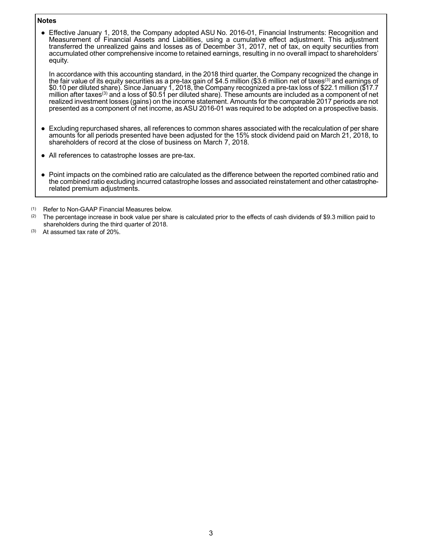## **Notes**

● Effective January 1, 2018, the Company adopted ASU No. 2016-01, Financial Instruments: Recognition and Measurement of Financial Assets and Liabilities, using a cumulative effect adjustment. This adjustment transferred the unrealized gains and losses as of December 31, 2017, net of tax, on equity securities from accumulated other comprehensive income to retained earnings, resulting in no overall impact to shareholders' equity.

In accordance with this accounting standard, in the 2018 third quarter, the Company recognized the change in the fair value of its equity securities as a pre-tax gain of \$4.5 million (\$3.6 million net of taxes<sup>(3)</sup> and ea \$0.10 per diluted share). Since January 1, 2018, the Company recognized a pre-tax loss of \$22.1 million (\$17.7 million after taxes<sup>(3)</sup> and a loss of \$0.51 per diluted share). These amounts are included as a component of net realized investment losses (gains) on the income statement. Amounts for the comparable 2017 periods are not presented as a component of net income, as ASU 2016-01 was required to be adopted on a prospective basis.

- Excluding repurchased shares, all references to common shares associated with the recalculation of per share amounts for all periods presented have been adjusted for the 15% stock dividend paid on March 21, 2018, to shareholders of record at the close of business on March 7, 2018.
- All references to catastrophe losses are pre-tax.
- Point impacts on the combined ratio are calculated as the difference between the reported combined ratio and the combined ratio excluding incurred catastrophe losses and associated reinstatement and other catastropherelated premium adjustments.
- (1) Refer to Non-GAAP Financial Measures below.
- (2) The percentage increase in book value per share is calculated prior to the effects of cash dividends of \$9.3 million paid to shareholders during the third quarter of 2018.
- (3) At assumed tax rate of 20%.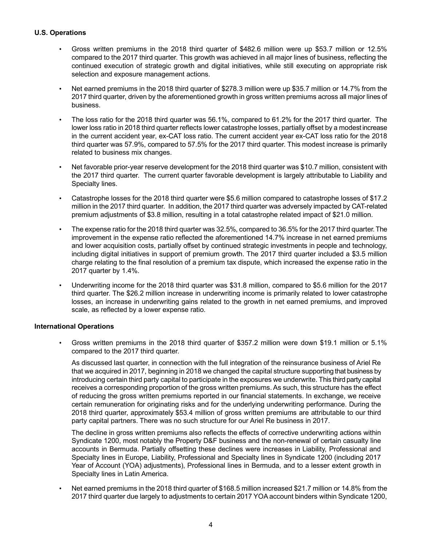## **U.S. Operations**

- Gross written premiums in the 2018 third quarter of \$482.6 million were up \$53.7 million or 12.5% compared to the 2017 third quarter. This growth was achieved in all major lines of business, reflecting the continued execution of strategic growth and digital initiatives, while still executing on appropriate risk selection and exposure management actions.
- Net earned premiums in the 2018 third quarter of \$278.3 million were up \$35.7 million or 14.7% from the 2017 third quarter, driven by the aforementioned growth in gross written premiums across all major lines of business.
- The loss ratio for the 2018 third quarter was 56.1%, compared to 61.2% for the 2017 third quarter. The lower loss ratio in 2018 third quarter reflects lower catastrophe losses, partially offset by a modest increase in the current accident year, ex-CAT loss ratio. The current accident year ex-CAT loss ratio for the 2018 third quarter was 57.9%, compared to 57.5% for the 2017 third quarter. This modest increase is primarily related to business mix changes.
- Net favorable prior-year reserve development for the 2018 third quarter was \$10.7 million, consistent with the 2017 third quarter. The current quarter favorable development is largely attributable to Liability and Specialty lines.
- Catastrophe losses for the 2018 third quarter were \$5.6 million compared to catastrophe losses of \$17.2 million in the 2017 third quarter. In addition, the 2017 third quarter was adversely impacted by CAT-related premium adjustments of \$3.8 million, resulting in a total catastrophe related impact of \$21.0 million.
- The expense ratio for the 2018 third quarter was 32.5%, compared to 36.5% for the 2017 third quarter. The improvement in the expense ratio reflected the aforementioned 14.7% increase in net earned premiums and lower acquisition costs, partially offset by continued strategic investments in people and technology, including digital initiatives in support of premium growth. The 2017 third quarter included a \$3.5 million charge relating to the final resolution of a premium tax dispute, which increased the expense ratio in the 2017 quarter by 1.4%.
- Underwriting income for the 2018 third quarter was \$31.8 million, compared to \$5.6 million for the 2017 third quarter. The \$26.2 million increase in underwriting income is primarily related to lower catastrophe losses, an increase in underwriting gains related to the growth in net earned premiums, and improved scale, as reflected by a lower expense ratio.

## **International Operations**

• Gross written premiums in the 2018 third quarter of \$357.2 million were down \$19.1 million or 5.1% compared to the 2017 third quarter.

As discussed last quarter, in connection with the full integration of the reinsurance business of Ariel Re that we acquired in 2017, beginning in 2018 we changed the capital structure supporting that business by introducing certain third party capital to participate in the exposures we underwrite. This third party capital receives a corresponding proportion of the gross written premiums. As such, this structure has the effect of reducing the gross written premiums reported in our financial statements. In exchange, we receive certain remuneration for originating risks and for the underlying underwriting performance. During the 2018 third quarter, approximately \$53.4 million of gross written premiums are attributable to our third party capital partners. There was no such structure for our Ariel Re business in 2017.

The decline in gross written premiums also reflects the effects of corrective underwriting actions within Syndicate 1200, most notably the Property D&F business and the non-renewal of certain casualty line accounts in Bermuda. Partially offsetting these declines were increases in Liability, Professional and Specialty lines in Europe, Liability, Professional and Specialty lines in Syndicate 1200 (including 2017 Year of Account (YOA) adjustments), Professional lines in Bermuda, and to a lesser extent growth in Specialty lines in Latin America.

Net earned premiums in the 2018 third quarter of \$168.5 million increased \$21.7 million or 14.8% from the 2017 third quarter due largely to adjustments to certain 2017 YOA account binders within Syndicate 1200,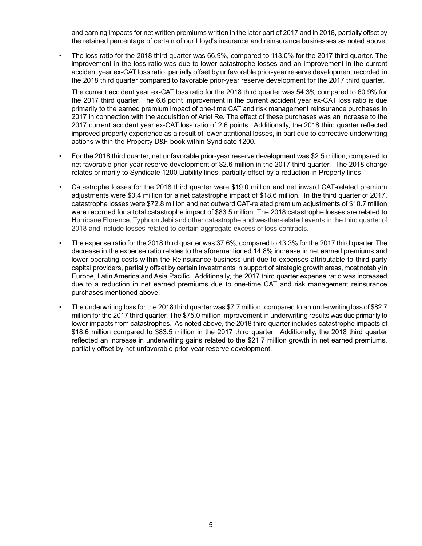and earning impacts for net written premiums written in the later part of 2017 and in 2018, partially offset by the retained percentage of certain of our Lloyd's insurance and reinsurance businesses as noted above.

• The loss ratio for the 2018 third quarter was 66.9%, compared to 113.0% for the 2017 third quarter. The improvement in the loss ratio was due to lower catastrophe losses and an improvement in the current accident year ex-CAT loss ratio, partially offset by unfavorable prior-year reserve development recorded in the 2018 third quarter compared to favorable prior-year reserve development for the 2017 third quarter.

The current accident year ex-CAT loss ratio for the 2018 third quarter was 54.3% compared to 60.9% for the 2017 third quarter. The 6.6 point improvement in the current accident year ex-CAT loss ratio is due primarily to the earned premium impact of one-time CAT and risk management reinsurance purchases in 2017 in connection with the acquisition of Ariel Re. The effect of these purchases was an increase to the 2017 current accident year ex-CAT loss ratio of 2.6 points. Additionally, the 2018 third quarter reflected improved property experience as a result of lower attritional losses, in part due to corrective underwriting actions within the Property D&F book within Syndicate 1200.

- For the 2018 third quarter, net unfavorable prior-year reserve development was \$2.5 million, compared to net favorable prior-year reserve development of \$2.6 million in the 2017 third quarter. The 2018 charge relates primarily to Syndicate 1200 Liability lines, partially offset by a reduction in Property lines.
- Catastrophe losses for the 2018 third quarter were \$19.0 million and net inward CAT-related premium adjustments were \$0.4 million for a net catastrophe impact of \$18.6 million. In the third quarter of 2017, catastrophe losses were \$72.8 million and net outward CAT-related premium adjustments of \$10.7 million were recorded for a total catastrophe impact of \$83.5 million. The 2018 catastrophe losses are related to Hurricane Florence, Typhoon Jebi and other catastrophe and weather-related events in the third quarter of 2018 and include losses related to certain aggregate excess of loss contracts.
- The expense ratio for the 2018 third quarter was 37.6%, compared to 43.3% for the 2017 third quarter. The decrease in the expense ratio relates to the aforementioned 14.8% increase in net earned premiums and lower operating costs within the Reinsurance business unit due to expenses attributable to third party capital providers, partially offset by certain investments in support of strategic growth areas, most notably in Europe, Latin America and Asia Pacific. Additionally, the 2017 third quarter expense ratio was increased due to a reduction in net earned premiums due to one-time CAT and risk management reinsurance purchases mentioned above.
	- The underwriting loss for the 2018 third quarter was \$7.7 million, compared to an underwriting loss of \$82.7 million for the 2017 third quarter. The \$75.0 million improvement in underwriting results was due primarily to lower impacts from catastrophes. As noted above, the 2018 third quarter includes catastrophe impacts of \$18.6 million compared to \$83.5 million in the 2017 third quarter. Additionally, the 2018 third quarter reflected an increase in underwriting gains related to the \$21.7 million growth in net earned premiums, partially offset by net unfavorable prior-year reserve development.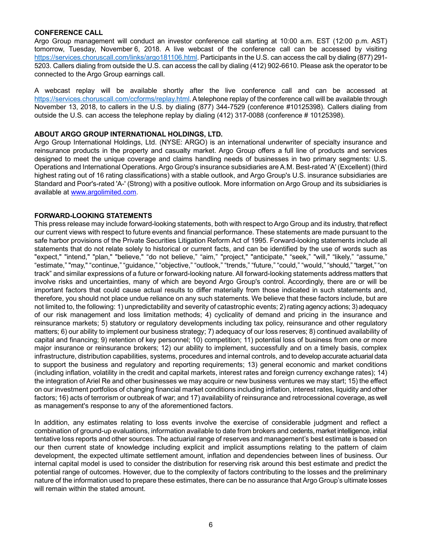### **CONFERENCE CALL**

Argo Group management will conduct an investor conference call starting at 10:00 a.m. EST (12:00 p.m. AST) tomorrow, Tuesday, November 6, 2018. A live webcast of the conference call can be accessed by visiting https://services.choruscall.com/links/argo181106.html. Participants in the U.S. can access the call by dialing (877) 291- 5203. Callers dialing from outside the U.S. can access the call by dialing (412) 902-6610. Please ask the operator to be connected to the Argo Group earnings call.

A webcast replay will be available shortly after the live conference call and can be accessed at https://services.choruscall.com/ccforms/replay.html. A telephone replay of the conference call will be available through November 13, 2018, to callers in the U.S. by dialing (877) 344-7529 (conference #10125398). Callers dialing from outside the U.S. can access the telephone replay by dialing (412) 317-0088 (conference # 10125398).

## **ABOUT ARGO GROUP INTERNATIONAL HOLDINGS, LTD.**

Argo Group International Holdings, Ltd. (NYSE: ARGO) is an international underwriter of specialty insurance and reinsurance products in the property and casualty market. Argo Group offers a full line of products and services designed to meet the unique coverage and claims handling needs of businesses in two primary segments: U.S. Operations and International Operations. Argo Group's insurance subsidiaries are A.M. Best-rated 'A' (Excellent) (third highest rating out of 16 rating classifications) with a stable outlook, and Argo Group's U.S. insurance subsidiaries are Standard and Poor's-rated 'A-' (Strong) with a positive outlook. More information on Argo Group and its subsidiaries is available at www.argolimited.com.

## **FORWARD-LOOKING STATEMENTS**

This press release may include forward-looking statements, both with respect to Argo Group and its industry, that reflect our current views with respect to future events and financial performance. These statements are made pursuant to the safe harbor provisions of the Private Securities Litigation Reform Act of 1995. Forward-looking statements include all statements that do not relate solely to historical or current facts, and can be identified by the use of words such as "expect," "intend," "plan," "believe," "do not believe," "aim," "project," "anticipate," "seek," "will," "likely," "assume," "estimate," "may," "continue," "guidance," "objective," "outlook," "trends," "future," "could," "would," "should," "target," "on track" and similar expressions of a future or forward-looking nature. All forward-looking statements address matters that involve risks and uncertainties, many of which are beyond Argo Group's control. Accordingly, there are or will be important factors that could cause actual results to differ materially from those indicated in such statements and, therefore, you should not place undue reliance on any such statements. We believe that these factors include, but are not limited to, the following: 1) unpredictability and severity of catastrophic events; 2) rating agency actions; 3) adequacy of our risk management and loss limitation methods; 4) cyclicality of demand and pricing in the insurance and reinsurance markets; 5) statutory or regulatory developments including tax policy, reinsurance and other regulatory matters; 6) our ability to implement our business strategy; 7) adequacy of our loss reserves; 8) continued availability of capital and financing; 9) retention of key personnel; 10) competition; 11) potential loss of business from one or more major insurance or reinsurance brokers; 12) our ability to implement, successfully and on a timely basis, complex infrastructure, distribution capabilities, systems, procedures and internal controls, and to develop accurate actuarial data to support the business and regulatory and reporting requirements; 13) general economic and market conditions (including inflation, volatility in the credit and capital markets, interest rates and foreign currency exchange rates); 14) the integration of Ariel Re and other businesses we may acquire or new business ventures we may start; 15) the effect on our investment portfolios of changing financial market conditions including inflation, interest rates, liquidity and other factors; 16) acts of terrorism or outbreak of war; and 17) availability of reinsurance and retrocessional coverage, as well as management's response to any of the aforementioned factors.

In addition, any estimates relating to loss events involve the exercise of considerable judgment and reflect a combination of ground-up evaluations, information available to date from brokers and cedents, market intelligence, initial tentative loss reports and other sources. The actuarial range of reserves and management's best estimate is based on our then current state of knowledge including explicit and implicit assumptions relating to the pattern of claim development, the expected ultimate settlement amount, inflation and dependencies between lines of business. Our internal capital model is used to consider the distribution for reserving risk around this best estimate and predict the potential range of outcomes. However, due to the complexity of factors contributing to the losses and the preliminary nature of the information used to prepare these estimates, there can be no assurance that Argo Group's ultimate losses will remain within the stated amount.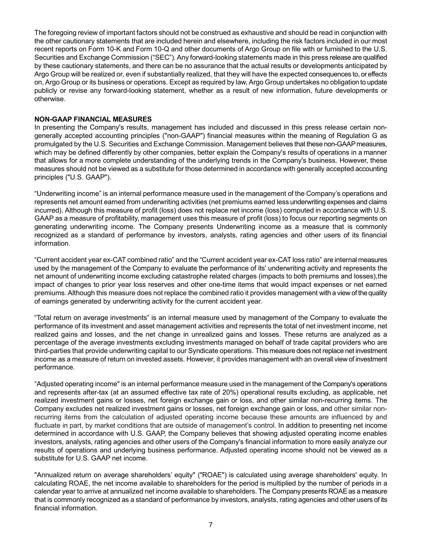The foregoing review of important factors should not be construed as exhaustive and should be read in conjunction with the other cautionary statements that are included herein and elsewhere, including the risk factors included in our most recent reports on Form 10-K and Form 10-Q and other documents of Argo Group on file with or furnished to the U.S. Securities and Exchange Commission ("SEC"). Any forward-looking statements made in this press release are qualified by these cautionary statements, and there can be no assurance that the actual results or developments anticipated by Argo Group will be realized or, even if substantially realized, that they will have the expected consequences to, or effects on, Argo Group or its business or operations. Except as required by law, Argo Group undertakes no obligation to update publicly or revise any forward-looking statement, whether as a result of new information, future developments or otherwise.

## **NON-GAAP FINANCIAL MEASURES**

In presenting the Company's results, management has included and discussed in this press release certain nongenerally accepted accounting principles ("non-GAAP") financial measures within the meaning of Regulation G as promulgated by the U.S. Securities and Exchange Commission. Management believes that these non-GAAP measures, which may be defined differently by other companies, better explain the Company's results of operations in a manner that allows for a more complete understanding of the underlying trends in the Company's business. However, these measures should not be viewed as a substitute for those determined in accordance with generally accepted accounting principles ("U.S. GAAP").

"Underwriting income" is an internal performance measure used in the management of the Company's operations and represents net amount earned from underwriting activities (net premiums earned less underwriting expenses and claims incurred). Although this measure of profit (loss) does not replace net income (loss) computed in accordance with U.S. GAAP as a measure of profitability, management uses this measure of profit (loss) to focus our reporting segments on generating underwriting income. The Company presents Underwriting income as a measure that is commonly recognized as a standard of performance by investors, analysts, rating agencies and other users of its financial information.

"Current accident year ex-CAT combined ratio" and the "Current accident year ex-CAT loss ratio" are internal measures used by the management of the Company to evaluate the performance of its' underwriting activity and represents the net amount of underwriting income excluding catastrophe related charges (impacts to both premiums and losses),the impact of changes to prior year loss reserves and other one-time items that would impact expenses or net earned premiums. Although this measure does not replace the combined ratio it provides management with a view of the quality of earnings generated by underwriting activity for the current accident year.

"Total return on average investments" is an internal measure used by management of the Company to evaluate the performance of its investment and asset management activities and represents the total of net investment income, net realized gains and losses, and the net change in unrealized gains and losses. These returns are analyzed as a percentage of the average investments excluding investments managed on behalf of trade capital providers who are third-parties that provide underwriting capital to our Syndicate operations. This measure does not replace net investment income as a measure of return on invested assets. However, it provides management with an overall view of investment performance.

"Adjusted operating income" is an internal performance measure used in the management of the Company's operations and represents after-tax (at an assumed effective tax rate of 20%) operational results excluding, as applicable, net realized investment gains or losses, net foreign exchange gain or loss, and other similar non-recurring items. The Company excludes net realized investment gains or losses, net foreign exchange gain or loss, and other similar nonrecurring items from the calculation of adjusted operating income because these amounts are influenced by and fluctuate in part, by market conditions that are outside of management's control. In addition to presenting net income determined in accordance with U.S. GAAP, the Company believes that showing adjusted operating income enables investors, analysts, rating agencies and other users of the Company's financial information to more easily analyze our results of operations and underlying business performance. Adjusted operating income should not be viewed as a substitute for U.S. GAAP net income.

"Annualized return on average shareholders' equity" ("ROAE") is calculated using average shareholders' equity. In calculating ROAE, the net income available to shareholders for the period is multiplied by the number of periods in a calendar year to arrive at annualized net income available to shareholders. The Company presents ROAE as a measure that is commonly recognized as a standard of performance by investors, analysts, rating agencies and other users of its financial information.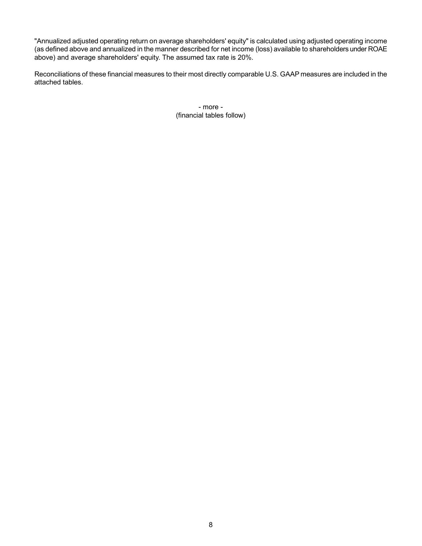"Annualized adjusted operating return on average shareholders' equity" is calculated using adjusted operating income (as defined above and annualized in the manner described for net income (loss) available to shareholders under ROAE above) and average shareholders' equity. The assumed tax rate is 20%.

Reconciliations of these financial measures to their most directly comparable U.S. GAAP measures are included in the attached tables.

> - more - (financial tables follow)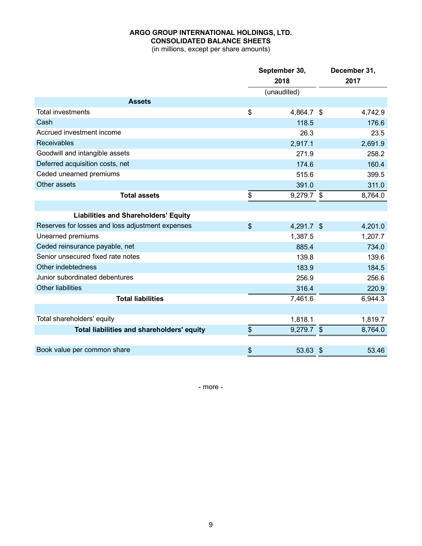## **ARGO GROUP INTERNATIONAL HOLDINGS, LTD. CONSOLIDATED BALANCE SHEETS**

(in millions, except per share amounts)

|                                                  | September 30,  |              |                           | December 31, |
|--------------------------------------------------|----------------|--------------|---------------------------|--------------|
|                                                  |                | 2018         |                           | 2017         |
|                                                  |                | (unaudited)  |                           |              |
| <b>Assets</b>                                    |                |              |                           |              |
| <b>Total investments</b>                         | \$             | 4,864.7 \$   |                           | 4,742.9      |
| Cash                                             |                | 118.5        |                           | 176.6        |
| Accrued investment income                        |                | 26.3         |                           | 23.5         |
| Receivables                                      |                | 2,917.1      |                           | 2,691.9      |
| Goodwill and intangible assets                   |                | 271.9        |                           | 258.2        |
| Deferred acquisition costs, net                  |                | 174.6        |                           | 160.4        |
| Ceded unearned premiums                          |                | 515.6        |                           | 399.5        |
| Other assets                                     |                | 391.0        |                           | 311.0        |
| <b>Total assets</b>                              | \$             | $9,279.7$ \$ |                           | 8,764.0      |
|                                                  |                |              |                           |              |
| <b>Liabilities and Shareholders' Equity</b>      |                |              |                           |              |
| Reserves for losses and loss adjustment expenses | $\mathfrak{S}$ | 4,291.7 \$   |                           | 4,201.0      |
| Unearned premiums                                |                | 1,387.5      |                           | 1,207.7      |
| Ceded reinsurance payable, net                   |                | 885.4        |                           | 734.0        |
| Senior unsecured fixed rate notes                |                | 139.8        |                           | 139.6        |
| Other indebtedness                               |                | 183.9        |                           | 184.5        |
| Junior subordinated debentures                   |                | 256.9        |                           | 256.6        |
| <b>Other liabilities</b>                         |                | 316.4        |                           | 220.9        |
| <b>Total liabilities</b>                         |                | 7,461.6      |                           | 6,944.3      |
|                                                  |                |              |                           |              |
| Total shareholders' equity                       |                | 1,818.1      |                           | 1,819.7      |
| Total liabilities and shareholders' equity       | \$             | $9,279.7$ \$ |                           | 8,764.0      |
|                                                  |                |              |                           |              |
| Book value per common share                      | \$             | 53.63        | $\boldsymbol{\mathsf{s}}$ | 53.46        |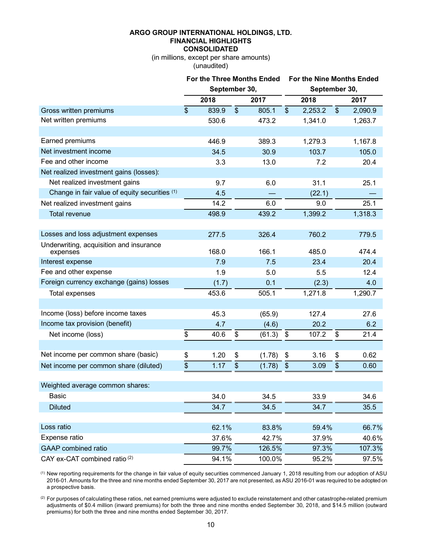#### **ARGO GROUP INTERNATIONAL HOLDINGS, LTD. FINANCIAL HIGHLIGHTS CONSOLIDATED**

(in millions, except per share amounts) (unaudited)

|                                                     |                | For the Three Months Ended |                           |        |                         | For the Nine Months Ended |                           |         |  |
|-----------------------------------------------------|----------------|----------------------------|---------------------------|--------|-------------------------|---------------------------|---------------------------|---------|--|
|                                                     |                | September 30,              |                           |        |                         | September 30,             |                           |         |  |
|                                                     |                | 2018                       |                           | 2017   |                         | 2018                      |                           | 2017    |  |
| Gross written premiums                              | $\mathfrak{S}$ | 839.9                      | $\sqrt[6]{\frac{1}{2}}$   | 805.1  | $\sqrt[6]{\frac{1}{2}}$ | 2,253.2                   | $\boldsymbol{\mathsf{S}}$ | 2,090.9 |  |
| Net written premiums                                |                | 530.6                      |                           | 473.2  |                         | 1,341.0                   |                           | 1,263.7 |  |
|                                                     |                |                            |                           |        |                         |                           |                           |         |  |
| Earned premiums                                     |                | 446.9                      |                           | 389.3  |                         | 1,279.3                   |                           | 1,167.8 |  |
| Net investment income                               |                | 34.5                       |                           | 30.9   |                         | 103.7                     |                           | 105.0   |  |
| Fee and other income                                |                | 3.3                        |                           | 13.0   |                         | 7.2                       |                           | 20.4    |  |
| Net realized investment gains (losses):             |                |                            |                           |        |                         |                           |                           |         |  |
| Net realized investment gains                       |                | 9.7                        |                           | 6.0    |                         | 31.1                      |                           | 25.1    |  |
| Change in fair value of equity securities (1)       |                | 4.5                        |                           |        |                         | (22.1)                    |                           |         |  |
| Net realized investment gains                       |                | 14.2                       |                           | 6.0    |                         | 9.0                       |                           | 25.1    |  |
| <b>Total revenue</b>                                |                | 498.9                      |                           | 439.2  |                         | 1,399.2                   |                           | 1,318.3 |  |
|                                                     |                |                            |                           |        |                         |                           |                           |         |  |
| Losses and loss adjustment expenses                 |                | 277.5                      |                           | 326.4  |                         | 760.2                     |                           | 779.5   |  |
| Underwriting, acquisition and insurance<br>expenses |                | 168.0                      |                           | 166.1  |                         | 485.0                     |                           | 474.4   |  |
| Interest expense                                    |                | 7.9                        |                           | 7.5    |                         | 23.4                      |                           | 20.4    |  |
| Fee and other expense                               |                | 1.9                        |                           | 5.0    |                         | 5.5                       |                           | 12.4    |  |
| Foreign currency exchange (gains) losses            |                | (1.7)                      |                           | 0.1    |                         | (2.3)                     |                           | 4.0     |  |
| Total expenses                                      |                | 453.6                      |                           | 505.1  |                         | 1,271.8                   |                           | 1,290.7 |  |
|                                                     |                |                            |                           |        |                         |                           |                           |         |  |
| Income (loss) before income taxes                   |                | 45.3                       |                           | (65.9) |                         | 127.4                     |                           | 27.6    |  |
| Income tax provision (benefit)                      |                | 4.7                        |                           | (4.6)  |                         | 20.2                      |                           | 6.2     |  |
| Net income (loss)                                   | \$             | 40.6                       | \$                        | (61.3) | \$                      | 107.2                     | \$                        | 21.4    |  |
|                                                     |                |                            |                           |        |                         |                           |                           |         |  |
| Net income per common share (basic)                 | \$             | 1.20                       | \$                        | (1.78) | \$                      | 3.16                      | \$                        | 0.62    |  |
| Net income per common share (diluted)               | $\frac{1}{2}$  | 1.17                       | $\boldsymbol{\mathsf{S}}$ | (1.78) | $\frac{1}{2}$           | 3.09                      | $\frac{1}{2}$             | 0.60    |  |
|                                                     |                |                            |                           |        |                         |                           |                           |         |  |
| Weighted average common shares:                     |                |                            |                           |        |                         |                           |                           |         |  |
| <b>Basic</b>                                        |                | 34.0                       |                           | 34.5   |                         | 33.9                      |                           | 34.6    |  |
| <b>Diluted</b>                                      |                | 34.7                       |                           | 34.5   |                         | 34.7                      |                           | 35.5    |  |
|                                                     |                |                            |                           |        |                         |                           |                           |         |  |
| Loss ratio                                          |                | 62.1%                      |                           | 83.8%  |                         | 59.4%                     |                           | 66.7%   |  |
| Expense ratio                                       |                | 37.6%                      |                           | 42.7%  |                         | 37.9%                     |                           | 40.6%   |  |
| <b>GAAP</b> combined ratio                          |                | 99.7%                      |                           | 126.5% |                         | 97.3%                     |                           | 107.3%  |  |
| CAY ex-CAT combined ratio <sup>(2)</sup>            |                | 94.1%                      |                           | 100.0% |                         | 95.2%                     |                           | 97.5%   |  |

(1) New reporting requirements for the change in fair value of equity securities commenced January 1, 2018 resulting from our adoption of ASU 2016-01. Amounts for the three and nine months ended September 30, 2017 are not presented, as ASU 2016-01 was required to be adopted on a prospective basis.

(2) For purposes of calculating these ratios, net earned premiums were adjusted to exclude reinstatement and other catastrophe-related premium adjustments of \$0.4 million (inward premiums) for both the three and nine months ended September 30, 2018, and \$14.5 million (outward premiums) for both the three and nine months ended September 30, 2017.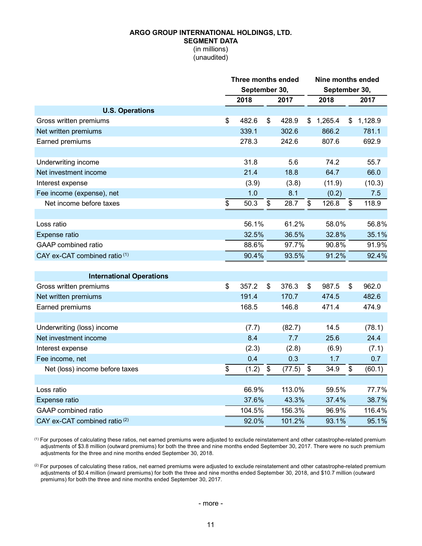#### **ARGO GROUP INTERNATIONAL HOLDINGS, LTD. SEGMENT DATA** (in millions)

(unaudited)

|                                          |               | Three months ended |    |        |                                           | Nine months ended |    |         |  |  |
|------------------------------------------|---------------|--------------------|----|--------|-------------------------------------------|-------------------|----|---------|--|--|
|                                          | September 30, |                    |    |        |                                           | September 30,     |    |         |  |  |
|                                          |               | 2018               |    | 2017   |                                           | 2018              |    | 2017    |  |  |
| <b>U.S. Operations</b>                   |               |                    |    |        |                                           |                   |    |         |  |  |
| Gross written premiums                   | \$            | 482.6              | \$ | 428.9  | \$.                                       | 1,265.4           | \$ | 1,128.9 |  |  |
| Net written premiums                     |               | 339.1              |    | 302.6  |                                           | 866.2             |    | 781.1   |  |  |
| Earned premiums                          |               | 278.3              |    | 242.6  |                                           | 807.6             |    | 692.9   |  |  |
|                                          |               |                    |    |        |                                           |                   |    |         |  |  |
| Underwriting income                      |               | 31.8               |    | 5.6    |                                           | 74.2              |    | 55.7    |  |  |
| Net investment income                    |               | 21.4               |    | 18.8   |                                           | 64.7              |    | 66.0    |  |  |
| Interest expense                         |               | (3.9)              |    | (3.8)  |                                           | (11.9)            |    | (10.3)  |  |  |
| Fee income (expense), net                |               | 1.0                |    | 8.1    |                                           | (0.2)             |    | 7.5     |  |  |
| Net income before taxes                  | \$            | 50.3               | \$ | 28.7   | \$                                        | 126.8             | \$ | 118.9   |  |  |
|                                          |               |                    |    |        |                                           |                   |    |         |  |  |
| Loss ratio                               |               | 56.1%              |    | 61.2%  |                                           | 58.0%             |    | 56.8%   |  |  |
| <b>Expense ratio</b>                     |               | 32.5%              |    | 36.5%  |                                           | 32.8%             |    | 35.1%   |  |  |
| <b>GAAP</b> combined ratio               |               | 88.6%              |    | 97.7%  |                                           | 90.8%             |    | 91.9%   |  |  |
| CAY ex-CAT combined ratio (1)            |               | 90.4%              |    | 93.5%  |                                           | 91.2%             |    | 92.4%   |  |  |
|                                          |               |                    |    |        |                                           |                   |    |         |  |  |
| <b>International Operations</b>          |               |                    |    |        |                                           |                   |    |         |  |  |
| Gross written premiums                   | \$            | 357.2              | \$ | 376.3  | \$                                        | 987.5             | \$ | 962.0   |  |  |
| Net written premiums                     |               | 191.4              |    | 170.7  |                                           | 474.5             |    | 482.6   |  |  |
| Earned premiums                          |               | 168.5              |    | 146.8  |                                           | 471.4             |    | 474.9   |  |  |
|                                          |               |                    |    |        |                                           |                   |    |         |  |  |
| Underwriting (loss) income               |               | (7.7)              |    | (82.7) |                                           | 14.5              |    | (78.1)  |  |  |
| Net investment income                    |               | 8.4                |    | 7.7    |                                           | 25.6              |    | 24.4    |  |  |
| Interest expense                         |               | (2.3)              |    | (2.8)  |                                           | (6.9)             |    | (7.1)   |  |  |
| Fee income, net                          |               | 0.4                |    | 0.3    |                                           | 1.7               |    | 0.7     |  |  |
| Net (loss) income before taxes           | \$            | (1.2)              | \$ | (77.5) | $\, \, \raisebox{12pt}{$\scriptstyle \$}$ | 34.9              | \$ | (60.1)  |  |  |
|                                          |               |                    |    |        |                                           |                   |    |         |  |  |
| Loss ratio                               |               | 66.9%              |    | 113.0% |                                           | 59.5%             |    | 77.7%   |  |  |
| Expense ratio                            |               | 37.6%              |    | 43.3%  |                                           | 37.4%             |    | 38.7%   |  |  |
| <b>GAAP</b> combined ratio               |               | 104.5%             |    | 156.3% |                                           | 96.9%             |    | 116.4%  |  |  |
| CAY ex-CAT combined ratio <sup>(2)</sup> |               | 92.0%              |    | 101.2% |                                           | 93.1%             |    | 95.1%   |  |  |

(1) For purposes of calculating these ratios, net earned premiums were adjusted to exclude reinstatement and other catastrophe-related premium adjustments of \$3.8 million (outward premiums) for both the three and nine months ended September 30, 2017. There were no such premium adjustments for the three and nine months ended September 30, 2018.

(2) For purposes of calculating these ratios, net earned premiums were adjusted to exclude reinstatement and other catastrophe-related premium adjustments of \$0.4 million (inward premiums) for both the three and nine months ended September 30, 2018, and \$10.7 million (outward premiums) for both the three and nine months ended September 30, 2017.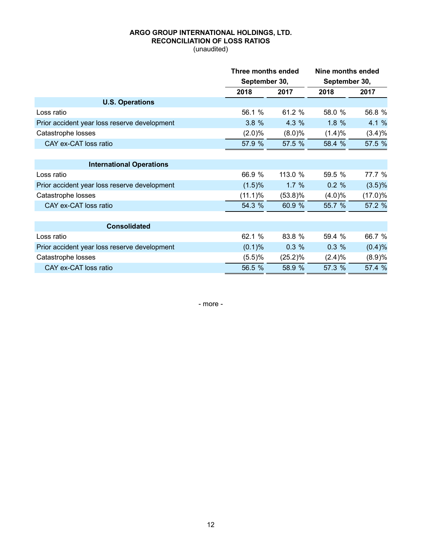## **ARGO GROUP INTERNATIONAL HOLDINGS, LTD. RECONCILIATION OF LOSS RATIOS**

(unaudited)

|                                              | Three months ended |            | Nine months ended |            |  |  |
|----------------------------------------------|--------------------|------------|-------------------|------------|--|--|
|                                              | September 30,      |            | September 30,     |            |  |  |
|                                              | 2018               | 2017       | 2018              | 2017       |  |  |
| <b>U.S. Operations</b>                       |                    |            |                   |            |  |  |
| Loss ratio                                   | 56.1 %             | 61.2 %     | 58.0 %            | 56.8 %     |  |  |
| Prior accident year loss reserve development | 3.8%               | 4.3 %      | 1.8%              | 4.1 %      |  |  |
| Catastrophe losses                           | $(2.0)\%$          | $(8.0)\%$  | (1.4)%            | (3.4)%     |  |  |
| CAY ex-CAT loss ratio                        | 57.9 %             | 57.5 %     | 58.4 %            | 57.5 %     |  |  |
|                                              |                    |            |                   |            |  |  |
| <b>International Operations</b>              |                    |            |                   |            |  |  |
| Loss ratio                                   | 66.9 %             | 113.0 %    | 59.5 %            | 77.7 %     |  |  |
| Prior accident year loss reserve development | (1.5)%             | 1.7%       | 0.2%              | $(3.5)\%$  |  |  |
| Catastrophe losses                           | $(11.1)\%$         | $(53.8)\%$ | $(4.0)\%$         | $(17.0)\%$ |  |  |
| CAY ex-CAT loss ratio                        | 54.3 %             | 60.9 %     | 55.7 %            | 57.2 %     |  |  |
|                                              |                    |            |                   |            |  |  |
| <b>Consolidated</b>                          |                    |            |                   |            |  |  |
| Loss ratio                                   | 62.1 %             | 83.8 %     | 59.4 %            | 66.7 %     |  |  |
| Prior accident year loss reserve development | $(0.1)$ %          | 0.3%       | 0.3%              | (0.4)%     |  |  |
| Catastrophe losses                           | (5.5)%             | $(25.2)\%$ | (2.4)%            | (8.9)%     |  |  |
| CAY ex-CAT loss ratio                        | 56.5 %             | 58.9 %     | 57.3 %            | 57.4 %     |  |  |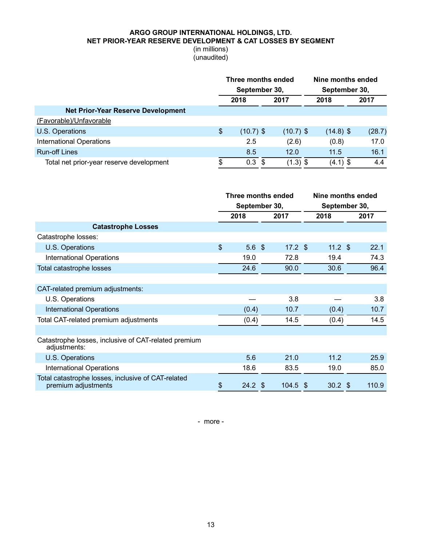## **ARGO GROUP INTERNATIONAL HOLDINGS, LTD. NET PRIOR-YEAR RESERVE DEVELOPMENT & CAT LOSSES BY SEGMENT**

(in millions) (unaudited)

|                                           |    | Three months ended<br>September 30, | Nine months ended<br>September 30, |             |        |  |
|-------------------------------------------|----|-------------------------------------|------------------------------------|-------------|--------|--|
|                                           |    | 2018                                | 2017                               | 2018        | 2017   |  |
| <b>Net Prior-Year Reserve Development</b> |    |                                     |                                    |             |        |  |
| (Favorable)/Unfavorable                   |    |                                     |                                    |             |        |  |
| U.S. Operations                           | \$ | $(10.7)$ \$                         | $(10.7)$ \$                        | $(14.8)$ \$ | (28.7) |  |
| <b>International Operations</b>           |    | 2.5                                 | (2.6)                              | (0.8)       | 17.0   |  |
| <b>Run-off Lines</b>                      |    | 8.5                                 | 12.0                               | 11.5        | 16.1   |  |
| Total net prior-year reserve development  | \$ | $0.3 \text{ } $$                    | $(1.3)$ \$                         | $(4.1)$ \$  | 4.4    |  |

|                                                                           |                | Three months ended |  |                 |     | Nine months ended |  |       |  |
|---------------------------------------------------------------------------|----------------|--------------------|--|-----------------|-----|-------------------|--|-------|--|
|                                                                           |                | September 30,      |  |                 |     | September 30,     |  |       |  |
|                                                                           |                | 2018               |  | 2017            |     | 2018              |  | 2017  |  |
| <b>Catastrophe Losses</b>                                                 |                |                    |  |                 |     |                   |  |       |  |
| Catastrophe losses:                                                       |                |                    |  |                 |     |                   |  |       |  |
| U.S. Operations                                                           | $\mathfrak{S}$ | 5.6 <sup>3</sup>   |  | $17.2 \text{ }$ |     | $11.2 \text{ } $$ |  | 22.1  |  |
| <b>International Operations</b>                                           |                | 19.0               |  | 72.8            |     | 19.4              |  | 74.3  |  |
| Total catastrophe losses                                                  |                | 24.6               |  | 90.0            |     | 30.6              |  | 96.4  |  |
|                                                                           |                |                    |  |                 |     |                   |  |       |  |
| CAT-related premium adjustments:                                          |                |                    |  |                 |     |                   |  |       |  |
| U.S. Operations                                                           |                |                    |  | 3.8             |     |                   |  | 3.8   |  |
| <b>International Operations</b>                                           |                | (0.4)              |  | 10.7            |     | (0.4)             |  | 10.7  |  |
| Total CAT-related premium adjustments                                     |                | (0.4)              |  | 14.5            |     | (0.4)             |  | 14.5  |  |
|                                                                           |                |                    |  |                 |     |                   |  |       |  |
| Catastrophe losses, inclusive of CAT-related premium<br>adjustments:      |                |                    |  |                 |     |                   |  |       |  |
| U.S. Operations                                                           |                | 5.6                |  | 21.0            |     | 11.2              |  | 25.9  |  |
| <b>International Operations</b>                                           |                | 18.6               |  | 83.5            |     | 19.0              |  | 85.0  |  |
| Total catastrophe losses, inclusive of CAT-related<br>premium adjustments | \$             | $24.2$ \$          |  | 104.5           | -\$ | $30.2 \text{ } $$ |  | 110.9 |  |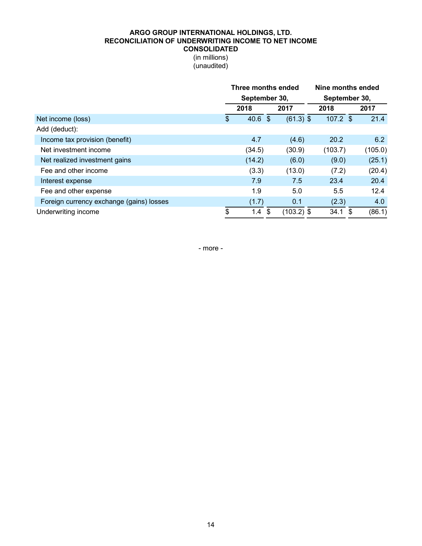## **ARGO GROUP INTERNATIONAL HOLDINGS, LTD. RECONCILIATION OF UNDERWRITING INCOME TO NET INCOME CONSOLIDATED**

(in millions) (unaudited)

|                                          | Three months ended       |              | Nine months ended |         |  |  |
|------------------------------------------|--------------------------|--------------|-------------------|---------|--|--|
|                                          | September 30,            |              | September 30,     |         |  |  |
|                                          | 2018                     | 2017         | 2018              | 2017    |  |  |
| Net income (loss)                        | \$<br>40.6<br>$\sqrt{3}$ | $(61.3)$ \$  | $107.2$ \$        | 21.4    |  |  |
| Add (deduct):                            |                          |              |                   |         |  |  |
| Income tax provision (benefit)           | 4.7                      | (4.6)        | 20.2              | 6.2     |  |  |
| Net investment income                    | (34.5)                   | (30.9)       | (103.7)           | (105.0) |  |  |
| Net realized investment gains            | (14.2)                   | (6.0)        | (9.0)             | (25.1)  |  |  |
| Fee and other income                     | (3.3)                    | (13.0)       | (7.2)             | (20.4)  |  |  |
| Interest expense                         | 7.9                      | 7.5          | 23.4              | 20.4    |  |  |
| Fee and other expense                    | 1.9                      | 5.0          | 5.5               | 12.4    |  |  |
| Foreign currency exchange (gains) losses | (1.7)                    | 0.1          | (2.3)             | 4.0     |  |  |
| Underwriting income                      | \$<br>\$<br>1.4          | $(103.2)$ \$ | 34.1 <sup>°</sup> | (86.1)  |  |  |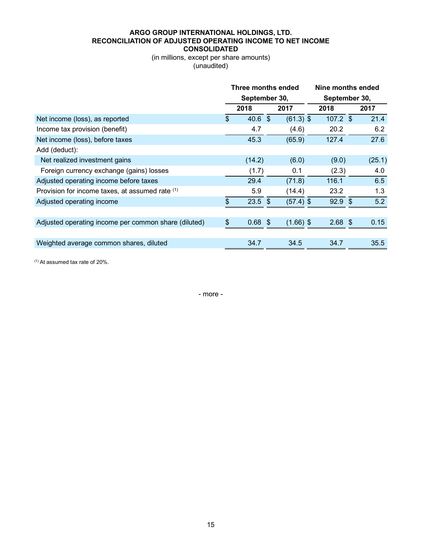## **ARGO GROUP INTERNATIONAL HOLDINGS, LTD. RECONCILIATION OF ADJUSTED OPERATING INCOME TO NET INCOME CONSOLIDATED**

(in millions, except per share amounts) (unaudited)

|                                                      | Three months ended |           |  |             | Nine months ended |            |  |        |
|------------------------------------------------------|--------------------|-----------|--|-------------|-------------------|------------|--|--------|
|                                                      | September 30,      |           |  |             | September 30,     |            |  |        |
|                                                      |                    | 2018      |  | 2017        |                   | 2018       |  | 2017   |
| Net income (loss), as reported                       | \$.                | 40.6~\$   |  | $(61.3)$ \$ |                   | $107.2$ \$ |  | 21.4   |
| Income tax provision (benefit)                       |                    | 4.7       |  | (4.6)       |                   | 20.2       |  | 6.2    |
| Net income (loss), before taxes                      |                    | 45.3      |  | (65.9)      |                   | 127.4      |  | 27.6   |
| Add (deduct):                                        |                    |           |  |             |                   |            |  |        |
| Net realized investment gains                        |                    | (14.2)    |  | (6.0)       |                   | (9.0)      |  | (25.1) |
| Foreign currency exchange (gains) losses             |                    | (1.7)     |  | 0.1         |                   | (2.3)      |  | 4.0    |
| Adjusted operating income before taxes               |                    | 29.4      |  | (71.8)      |                   | 116.1      |  | 6.5    |
| Provision for income taxes, at assumed rate (1)      |                    | 5.9       |  | (14.4)      |                   | 23.2       |  | 1.3    |
| Adjusted operating income                            |                    | $23.5$ \$ |  | $(57.4)$ \$ |                   | $92.9$ \$  |  | 5.2    |
|                                                      |                    |           |  |             |                   |            |  |        |
| Adjusted operating income per common share (diluted) | \$                 | $0.68$ \$ |  | $(1.66)$ \$ |                   | $2.68$ \$  |  | 0.15   |
|                                                      |                    |           |  |             |                   |            |  |        |
| Weighted average common shares, diluted              |                    | 34.7      |  | 34.5        |                   | 34.7       |  | 35.5   |
|                                                      |                    |           |  |             |                   |            |  |        |

 $(1)$  At assumed tax rate of 20%.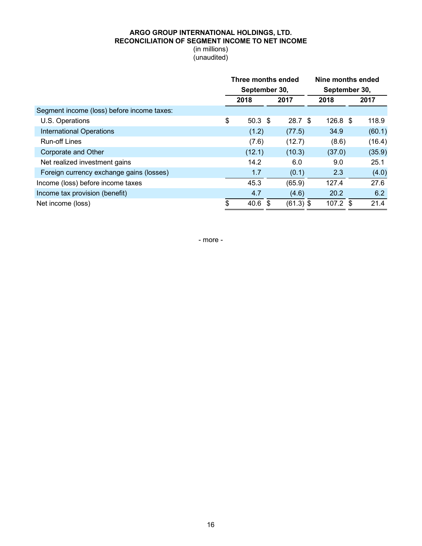## **ARGO GROUP INTERNATIONAL HOLDINGS, LTD. RECONCILIATION OF SEGMENT INCOME TO NET INCOME**

(in millions) (unaudited)

|                                            | Three months ended      |                   | Nine months ended<br>September 30, |        |  |  |
|--------------------------------------------|-------------------------|-------------------|------------------------------------|--------|--|--|
|                                            | September 30,           |                   |                                    |        |  |  |
|                                            | 2018                    | 2017              | 2018                               | 2017   |  |  |
| Segment income (loss) before income taxes: |                         |                   |                                    |        |  |  |
| U.S. Operations                            | \$<br>$50.3 \text{ } $$ | 28.7 <sup>°</sup> | 126.8 \$                           | 118.9  |  |  |
| <b>International Operations</b>            | (1.2)                   | (77.5)            | 34.9                               | (60.1) |  |  |
| <b>Run-off Lines</b>                       | (7.6)                   | (12.7)            | (8.6)                              | (16.4) |  |  |
| Corporate and Other                        | (12.1)                  | (10.3)            | (37.0)                             | (35.9) |  |  |
| Net realized investment gains              | 14.2                    | 6.0               | 9.0                                | 25.1   |  |  |
| Foreign currency exchange gains (losses)   | 1.7                     | (0.1)             | 2.3                                | (4.0)  |  |  |
| Income (loss) before income taxes          | 45.3                    | (65.9)            | 127.4                              | 27.6   |  |  |
| Income tax provision (benefit)             | 4.7                     | (4.6)             | 20.2                               | 6.2    |  |  |
| Net income (loss)                          | \$<br>$40.6~{\rm s}$    | $(61.3)$ \$       | $107.2$ \$                         | 21.4   |  |  |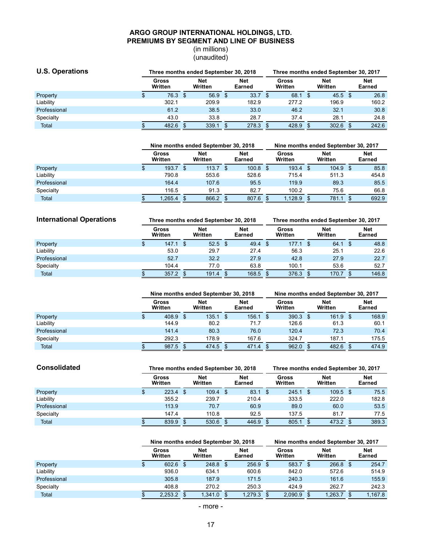## **ARGO GROUP INTERNATIONAL HOLDINGS, LTD. PREMIUMS BY SEGMENT AND LINE OF BUSINESS**

(in millions) (unaudited)

| <b>U.S. Operations</b> | Three months ended September 30, 2018 |  |                   |  |                             |  | Three months ended September 30, 2017 |      |                       |  |                      |  |
|------------------------|---------------------------------------|--|-------------------|--|-----------------------------|--|---------------------------------------|------|-----------------------|--|----------------------|--|
|                        | Gross<br>Written                      |  | Net<br>Written    |  | <b>Net</b><br><b>Earned</b> |  | Gross<br>Written                      |      | <b>Net</b><br>Written |  | <b>Net</b><br>Earned |  |
| Property               | 76.3 \$                               |  | 56.9 <sup>5</sup> |  | 33.7                        |  | 68.1                                  | - \$ | 45.5                  |  | 26.8                 |  |
| Liability              | 302.1                                 |  | 209.9             |  | 182.9                       |  | 277.2                                 |      | 196.9                 |  | 160.2                |  |
| Professional           | 61.2                                  |  | 38.5              |  | 33.0                        |  | 46.2                                  |      | 32.1                  |  | 30.8                 |  |
| Specialty              | 43.0                                  |  | 33.8              |  | 28.7                        |  | 37.4                                  |      | 28.1                  |  | 24.8                 |  |
| <b>Total</b>           | 482.6                                 |  | 339.1             |  | 278.3                       |  | 428.9                                 |      | 302.6                 |  | 242.6                |  |

|              | Nine months ended September 30, 2018 |     |                       |      |               |     | Nine months ended September 30, 2017 |  |                       |  |               |  |  |
|--------------|--------------------------------------|-----|-----------------------|------|---------------|-----|--------------------------------------|--|-----------------------|--|---------------|--|--|
|              | Gross<br>Written                     |     | <b>Net</b><br>Written |      | Net<br>Earned |     | Gross<br>Written                     |  | <b>Net</b><br>Written |  | Net<br>Earned |  |  |
| Property     | 193.7                                | - S | 113.7                 | - \$ | 100.8         | \$. | 193.4                                |  | 104.9                 |  | 85.8          |  |  |
| Liability    | 790.8                                |     | 553.6                 |      | 528.6         |     | 715.4                                |  | 511.3                 |  | 454.8         |  |  |
| Professional | 164.4                                |     | 107.6                 |      | 95.5          |     | 119.9                                |  | 89.3                  |  | 85.5          |  |  |
| Specialty    | 116.5                                |     | 91.3                  |      | 82.7          |     | 100.2                                |  | 75.6                  |  | 66.8          |  |  |
| <b>Total</b> | .265.4                               |     | 866.2                 |      | 807.6         |     | 1.128.9                              |  | 781.1                 |  | 692.9         |  |  |

| <b>International Operations</b> | Three months ended September 30, 2018 |                  |  |                       |  |                      |    | Three months ended September 30, 2017 |  |                       |  |                      |  |
|---------------------------------|---------------------------------------|------------------|--|-----------------------|--|----------------------|----|---------------------------------------|--|-----------------------|--|----------------------|--|
|                                 |                                       | Gross<br>Written |  | <b>Net</b><br>Written |  | Net<br><b>Earned</b> |    | Gross<br>Written                      |  | <b>Net</b><br>Written |  | <b>Net</b><br>Earned |  |
| Property                        |                                       | $147.1$ \$       |  | $52.5$ \$             |  | 49.4                 | \$ | $177.1$ \$                            |  | 64.1 \$               |  | 48.8                 |  |
| Liability                       |                                       | 53.0             |  | 29.7                  |  | 27.4                 |    | 56.3                                  |  | 25.1                  |  | 22.6                 |  |
| Professional                    |                                       | 52.7             |  | 32.2                  |  | 27.9                 |    | 42.8                                  |  | 27.9                  |  | 22.7                 |  |
| Specialty                       |                                       | 104.4            |  | 77.0                  |  | 63.8                 |    | 100.1                                 |  | 53.6                  |  | 52.7                 |  |
| Total                           |                                       | $357.2$ \$       |  | 191.4                 |  | 168.5                |    | 376.3                                 |  | 170.7                 |  | 146.8                |  |

|              | Nine months ended September 30, 2018 |  |                |  |               |  | Nine months ended September 30, 2017 |  |                       |  |                      |  |  |
|--------------|--------------------------------------|--|----------------|--|---------------|--|--------------------------------------|--|-----------------------|--|----------------------|--|--|
|              | Gross<br>Written                     |  | Net<br>Written |  | Net<br>Earned |  | Gross<br>Written                     |  | <b>Net</b><br>Written |  | <b>Net</b><br>Earned |  |  |
| Property     | 408.9 \$                             |  | $135.1$ \$     |  | 156.1         |  | $390.3$ \$                           |  | $161.9$ \$            |  | 168.9                |  |  |
| Liability    | 144.9                                |  | 80.2           |  | 71.7          |  | 126.6                                |  | 61.3                  |  | 60.1                 |  |  |
| Professional | 141.4                                |  | 80.3           |  | 76.0          |  | 120.4                                |  | 72.3                  |  | 70.4                 |  |  |
| Specialty    | 292.3                                |  | 178.9          |  | 167.6         |  | 324.7                                |  | 187.1                 |  | 175.5                |  |  |
| <b>Total</b> | 987.5                                |  | 474.5 \$       |  | 471.4         |  | 962.0                                |  | 482.6                 |  | 474.9                |  |  |

| <b>Consolidated</b> | Three months ended September 30, 2018 |            |  |                                 |      |                  |     | Three months ended September 30, 2017 |  |               |  |       |  |
|---------------------|---------------------------------------|------------|--|---------------------------------|------|------------------|-----|---------------------------------------|--|---------------|--|-------|--|
|                     | Gross<br>Written                      |            |  | Net<br>Net<br>Written<br>Earned |      | Gross<br>Written |     | <b>Net</b><br>Written                 |  | Net<br>Earned |  |       |  |
| Property            |                                       | $223.4$ \$ |  | 109.4                           | - \$ | 83.1             | -\$ | $245.1$ \$                            |  | $109.5$ \$    |  | 75.5  |  |
| Liability           | 355.2                                 |            |  | 239.7                           |      | 210.4            |     | 333.5                                 |  | 222.0         |  | 182.8 |  |
| Professional        |                                       | 113.9      |  | 70.7                            |      | 60.9             |     | 89.0                                  |  | 60.0          |  | 53.5  |  |
| Specialty           |                                       | 147.4      |  | 110.8                           |      | 92.5             |     | 137.5                                 |  | 81.7          |  | 77.5  |  |
| <b>Total</b>        |                                       | 839.9      |  | 530.6                           |      | 446.9            |     | 805.1                                 |  | 473.2         |  | 389.3 |  |

|              | Nine months ended September 30, 2018 |  |                |  |                             |    | Nine months ended September 30, 2017 |  |                       |     |                             |  |  |
|--------------|--------------------------------------|--|----------------|--|-----------------------------|----|--------------------------------------|--|-----------------------|-----|-----------------------------|--|--|
|              | Gross<br>Written                     |  | Net<br>Written |  | <b>Net</b><br><b>Earned</b> |    | Gross<br>Written                     |  | <b>Net</b><br>Written |     | <b>Net</b><br><b>Earned</b> |  |  |
| Property     | 602.6 \$                             |  | 248.8 \$       |  | 256.9                       | \$ | 583.7                                |  | 266.8                 | \$. | 254.7                       |  |  |
| Liability    | 936.0                                |  | 634.1          |  | 600.6                       |    | 842.0                                |  | 572.6                 |     | 514.9                       |  |  |
| Professional | 305.8                                |  | 187.9          |  | 171.5                       |    | 240.3                                |  | 161.6                 |     | 155.9                       |  |  |
| Specialty    | 408.8                                |  | 270.2          |  | 250.3                       |    | 424.9                                |  | 262.7                 |     | 242.3                       |  |  |
| <b>Total</b> | 2.253.2                              |  | $1.341.0$ \$   |  | 1.279.3                     |    | 2.090.9                              |  | .263.7                |     | 1.167.8                     |  |  |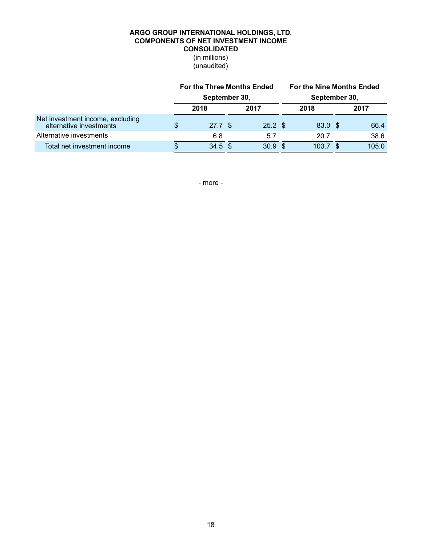## **ARGO GROUP INTERNATIONAL HOLDINGS, LTD. COMPONENTS OF NET INVESTMENT INCOME CONSOLIDATED** (in millions)

(unaudited)

|                                                             | <b>For the Three Months Ended</b> |                   |  |                   |               |         |  | <b>For the Nine Months Ended</b> |  |  |  |
|-------------------------------------------------------------|-----------------------------------|-------------------|--|-------------------|---------------|---------|--|----------------------------------|--|--|--|
|                                                             |                                   | September 30,     |  |                   | September 30, |         |  |                                  |  |  |  |
|                                                             |                                   | 2018              |  | 2017              | 2018          |         |  | 2017                             |  |  |  |
| Net investment income, excluding<br>alternative investments | S                                 | 27.7 <sup>°</sup> |  | $25.2 \text{ } $$ |               | 83.0 \$ |  | 66.4                             |  |  |  |
| Alternative investments                                     |                                   | 6.8               |  | 5.7               |               | 20.7    |  | 38.6                             |  |  |  |
| Total net investment income                                 | \$                                | $34.5 \text{ } $$ |  | 30.9 <sup>5</sup> |               | 103.7 S |  | 105.0                            |  |  |  |